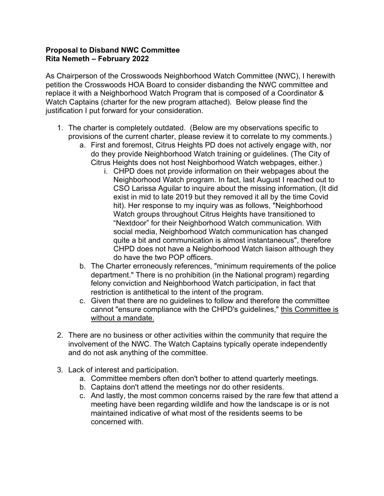## **Proposal to Disband NWC Committee Rita Nemeth – February 2022**

As Chairperson of the Crosswoods Neighborhood Watch Committee (NWC), I herewith petition the Crosswoods HOA Board to consider disbanding the NWC committee and replace it with a Neighborhood Watch Program that is composed of a Coordinator & Watch Captains (charter for the new program attached). Below please find the justification I put forward for your consideration.

- 1. The charter is completely outdated. (Below are my observations specific to provisions of the current charter, please review it to correlate to my comments.)
	- a. First and foremost, Citrus Heights PD does not actively engage with, nor do they provide Neighborhood Watch training or guidelines. (The City of Citrus Heights does not host Neighborhood Watch webpages, either.)
		- i. CHPD does not provide information on their webpages about the Neighborhood Watch program. In fact, last August I reached out to CSO Larissa Aguilar to inquire about the missing information, (It did exist in mid to late 2019 but they removed it all by the time Covid hit). Her response to my inquiry was as follows, "Neighborhood Watch groups throughout Citrus Heights have transitioned to "Nextdoor" for their Neighborhood Watch communication. With social media, Neighborhood Watch communication has changed quite a bit and communication is almost instantaneous", therefore CHPD does not have a Neighborhood Watch liaison although they do have the two POP officers.
	- b. The Charter erroneously references, "minimum requirements of the police department." There is no prohibition (in the National program) regarding felony conviction and Neighborhood Watch participation, in fact that restriction is antithetical to the intent of the program.
	- c. Given that there are no guidelines to follow and therefore the committee cannot "ensure compliance with the CHPD's guidelines," this Committee is without a mandate.
- 2. There are no business or other activities within the community that require the involvement of the NWC. The Watch Captains typically operate independently and do not ask anything of the committee.
- 3. Lack of interest and participation.
	- a. Committee members often don't bother to attend quarterly meetings.
	- b. Captains don't attend the meetings nor do other residents.
	- c. And lastly, the most common concerns raised by the rare few that attend a meeting have been regarding wildlife and how the landscape is or is not maintained indicative of what most of the residents seems to be concerned with.